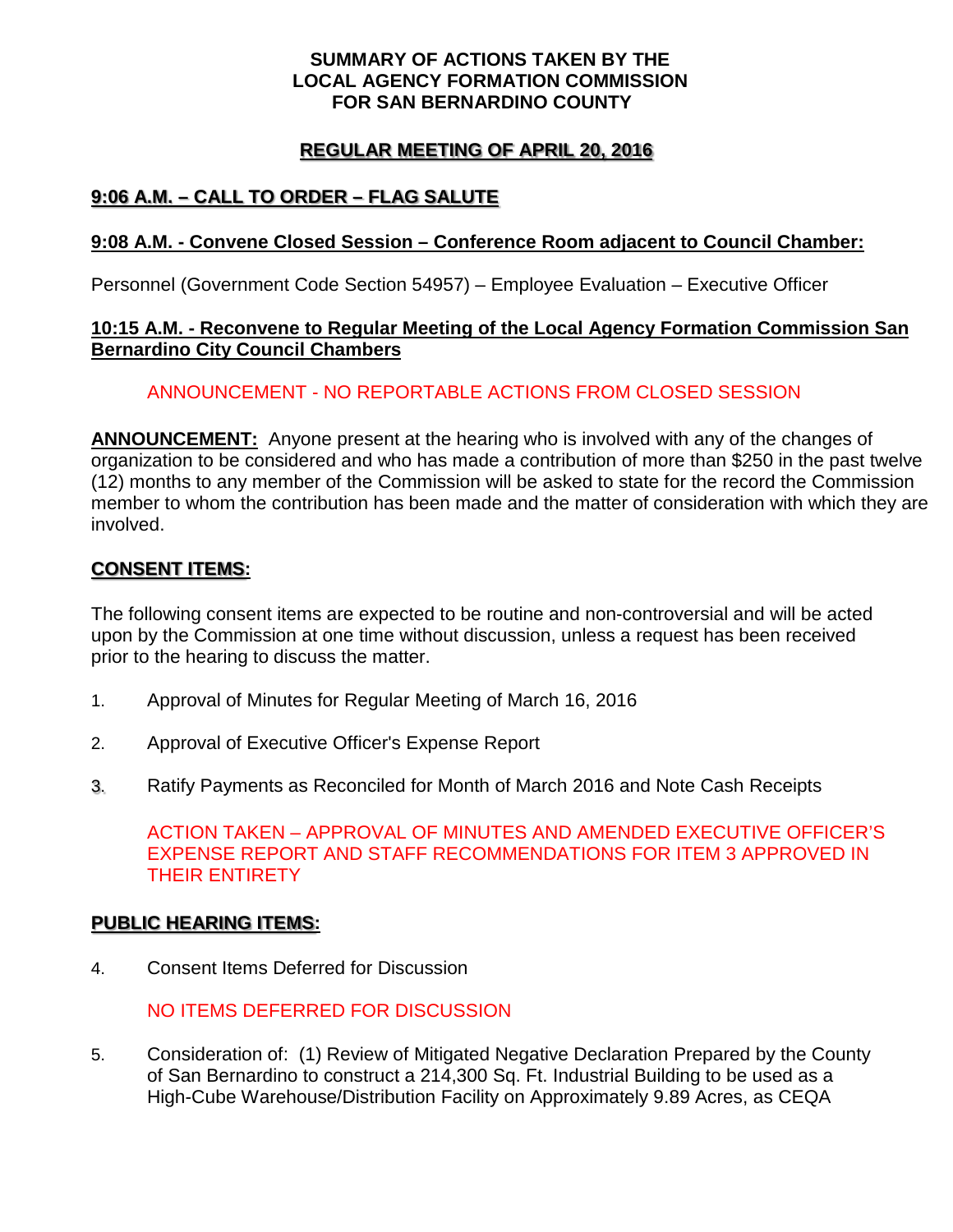#### **SUMMARY OF ACTIONS TAKEN BY THE LOCAL AGENCY FORMATION COMMISSION FOR SAN BERNARDINO COUNTY**

# **REGULAR MEETING OF APRIL 20, 2016**

# **9:06 A.M. – CALL TO ORDER – FLAG SALUTE**

### **9:08 A.M. - Convene Closed Session – Conference Room adjacent to Council Chamber:**

Personnel (Government Code Section 54957) – Employee Evaluation – Executive Officer

#### **10:15 A.M. - Reconvene to Regular Meeting of the Local Agency Formation Commission San Bernardino City Council Chambers**

### ANNOUNCEMENT - NO REPORTABLE ACTIONS FROM CLOSED SESSION

**ANNOUNCEMENT:** Anyone present at the hearing who is involved with any of the changes of organization to be considered and who has made a contribution of more than \$250 in the past twelve (12) months to any member of the Commission will be asked to state for the record the Commission member to whom the contribution has been made and the matter of consideration with which they are involved.

#### **CONSENT ITEMS:**

The following consent items are expected to be routine and non-controversial and will be acted upon by the Commission at one time without discussion, unless a request has been received prior to the hearing to discuss the matter.

- 1. Approval of Minutes for Regular Meeting of March 16, 2016
- 2. Approval of Executive Officer's Expense Report
- 3. Ratify Payments as Reconciled for Month of March 2016 and Note Cash Receipts

ACTION TAKEN – APPROVAL OF MINUTES AND AMENDED EXECUTIVE OFFICER'S EXPENSE REPORT AND STAFF RECOMMENDATIONS FOR ITEM 3 APPROVED IN THEIR ENTIRETY

#### **PUBLIC HEARING ITEMS:**

4. Consent Items Deferred for Discussion

## NO ITEMS DEFERRED FOR DISCUSSION

5. Consideration of: (1) Review of Mitigated Negative Declaration Prepared by the County of San Bernardino to construct a 214,300 Sq. Ft. Industrial Building to be used as a High-Cube Warehouse/Distribution Facility on Approximately 9.89 Acres, as CEQA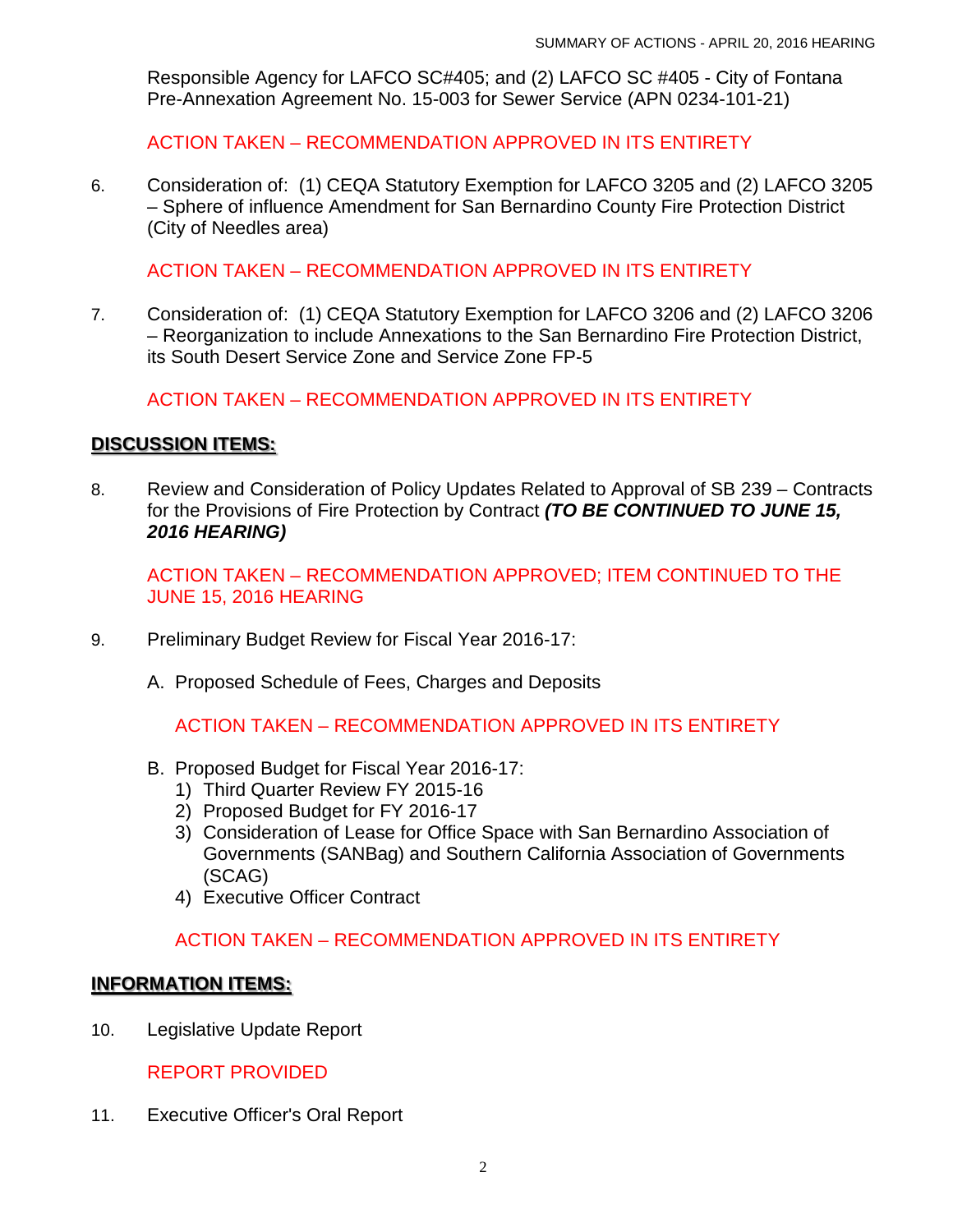Responsible Agency for LAFCO SC#405; and (2) LAFCO SC #405 - City of Fontana Pre-Annexation Agreement No. 15-003 for Sewer Service (APN 0234-101-21)

ACTION TAKEN – RECOMMENDATION APPROVED IN ITS ENTIRETY

6. Consideration of: (1) CEQA Statutory Exemption for LAFCO 3205 and (2) LAFCO 3205 – Sphere of influence Amendment for San Bernardino County Fire Protection District (City of Needles area)

ACTION TAKEN – RECOMMENDATION APPROVED IN ITS ENTIRETY

7. Consideration of: (1) CEQA Statutory Exemption for LAFCO 3206 and (2) LAFCO 3206 – Reorganization to include Annexations to the San Bernardino Fire Protection District, its South Desert Service Zone and Service Zone FP-5

ACTION TAKEN – RECOMMENDATION APPROVED IN ITS ENTIRETY

### **DISCUSSION ITEMS:**

8. Review and Consideration of Policy Updates Related to Approval of SB 239 – Contracts for the Provisions of Fire Protection by Contract *(TO BE CONTINUED TO JUNE 15, 2016 HEARING)*

ACTION TAKEN – RECOMMENDATION APPROVED; ITEM CONTINUED TO THE JUNE 15, 2016 HEARING

- 9. Preliminary Budget Review for Fiscal Year 2016-17:
	- A. Proposed Schedule of Fees, Charges and Deposits

ACTION TAKEN – RECOMMENDATION APPROVED IN ITS ENTIRETY

- B. Proposed Budget for Fiscal Year 2016-17:
	- 1) Third Quarter Review FY 2015-16
	- 2) Proposed Budget for FY 2016-17
	- 3) Consideration of Lease for Office Space with San Bernardino Association of Governments (SANBag) and Southern California Association of Governments (SCAG)
	- 4) Executive Officer Contract

## ACTION TAKEN – RECOMMENDATION APPROVED IN ITS ENTIRETY

#### **INFORMATION ITEMS:**

10. Legislative Update Report

REPORT PROVIDED

11. Executive Officer's Oral Report